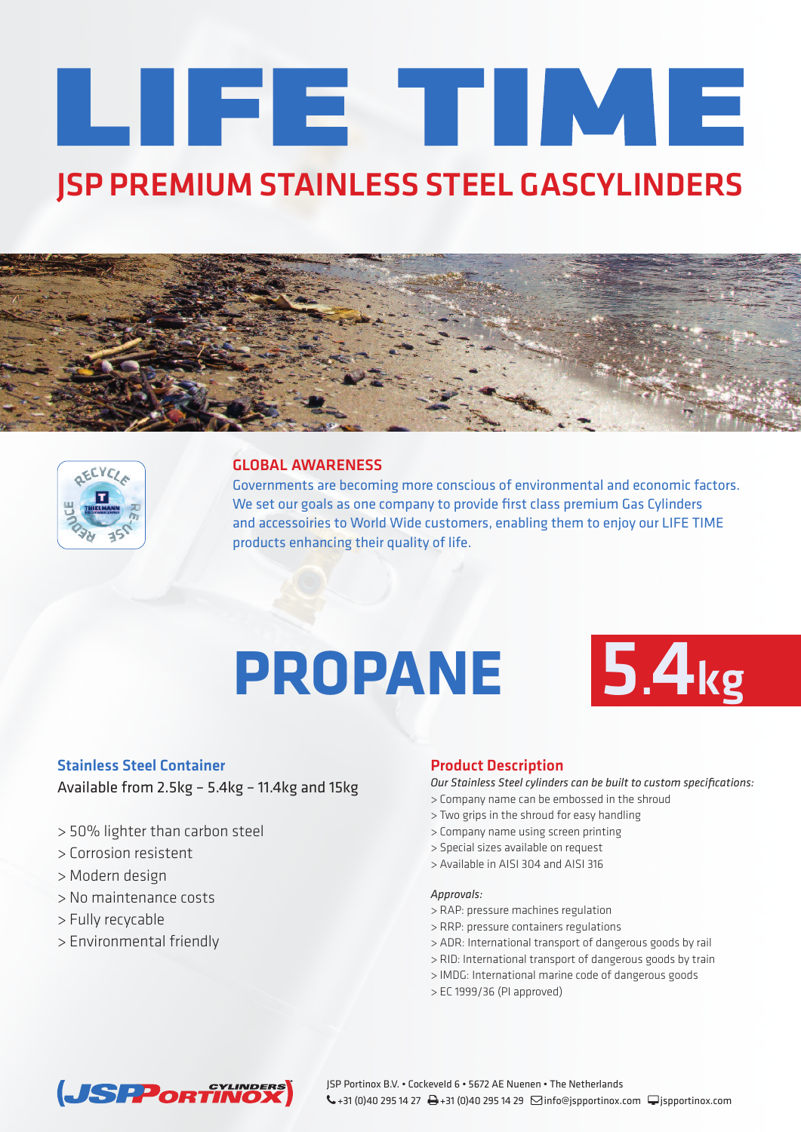# LIFE TIME **JSP PREMIUM STAINLESS STEEL GASCYLINDERS**





### **GLOBAL AWARENESS**

Governments are becoming more conscious of environmental and economic factors. We set our goals as one company to provide first class premium Gas Cylinders and accessoiries to World Wide customers, enabling them to enjoy our LIFE TIME products enhancing their quality of life.

# **PROPANE 5.4kg**



### **Stainless Steel Container**

Available from 2.5kg – 5.4kg – 11.4kg and 15kg

- > 50% lighter than carbon steel
- > Corrosion resistent
- > Modern design
- > No maintenance costs
- > Fully recycable
- > Environmental friendly

## **Product Description**

*Our Stainless Steel cylinders can be built to custom specifications:*

- > Company name can be embossed in the shroud
- > Two grips in the shroud for easy handling
- > Company name using screen printing
- > Special sizes available on request
- > Available in AISI 304 and AISI 316

#### *Approvals:*

- > RAP: pressure machines regulation
- > RRP: pressure containers regulations
- > ADR: International transport of dangerous goods by rail
- > RID: International transport of dangerous goods by train
- > IMDG: International marine code of dangerous goods
- > EC 1999/36 (PI approved)